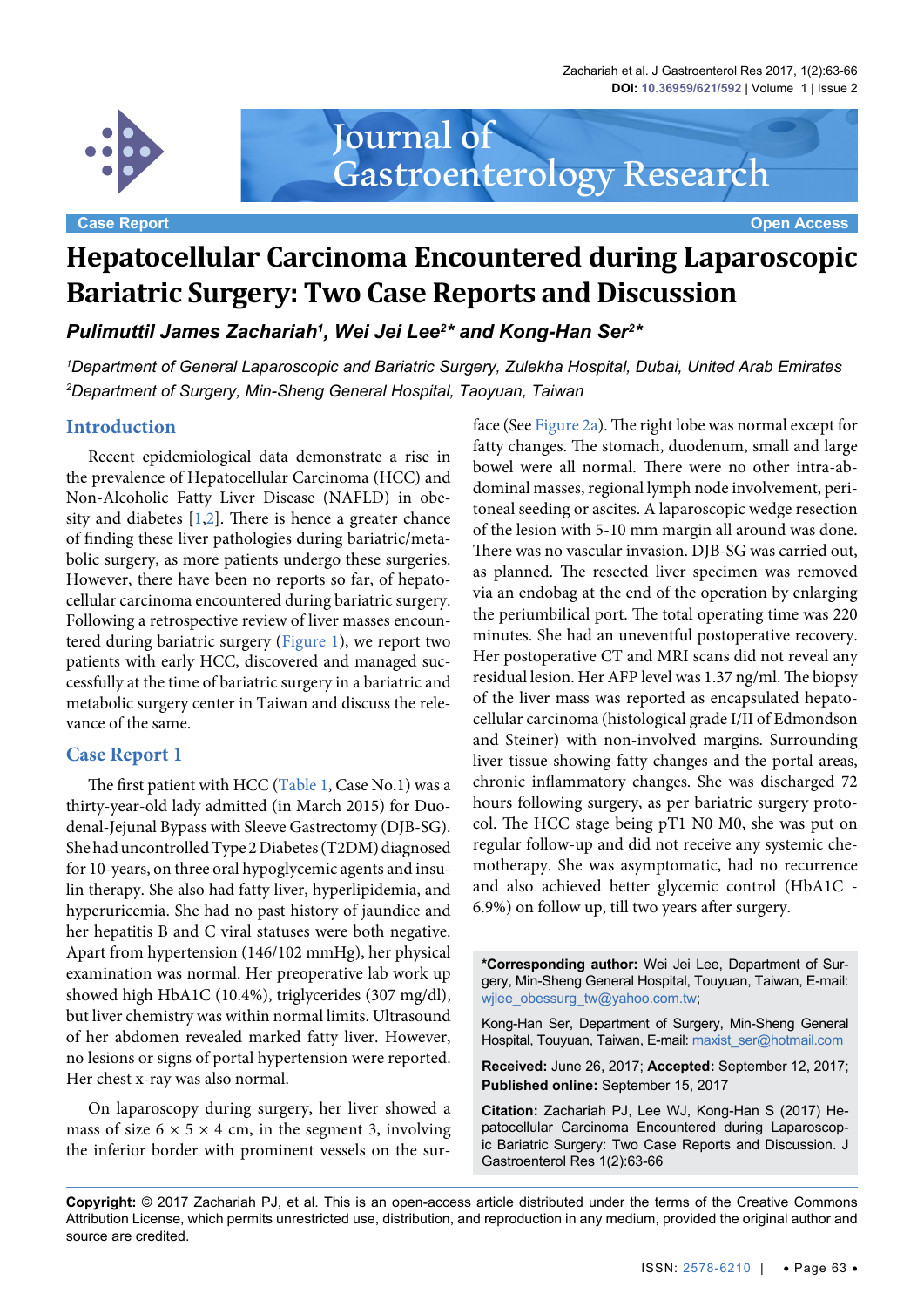Zachariah et al. J Gastroenterol Res 2017, 1(2):63-66 **DOI: 10.36959/621/592** | Volume 1 | Issue 2



**Case Report Case Report Case Access** 2014 12:00 12:00 12:00 12:00 12:00 12:00 12:00 12:00 12:00 12:00 12:00 12:00 12:00 12:00 12:00 12:00 12:00 12:00 12:00 12:00 12:00 12:00 12:00 12:00 12:00 12:00 12:00 12:00 12:00 12:00

# Journal of Gastroenterology Research

# **Hepatocellular Carcinoma Encountered during Laparoscopic Bariatric Surgery: Two Case Reports and Discussion**

*Pulimuttil James Zachariah<sup>1</sup>, Wei Jei Lee* $^{2*}$  *and Kong-Han Ser* $^{2*}$ 

*1 Department of General Laparoscopic and Bariatric Surgery, Zulekha Hospital, Dubai, United Arab Emirates 2 Department of Surgery, Min-Sheng General Hospital, Taoyuan, Taiwan*

# **Introduction**

Recent epidemiological data demonstrate a rise in the prevalence of Hepatocellular Carcinoma (HCC) and Non-Alcoholic Fatty Liver Disease (NAFLD) in obesity and diabetes  $[1,2]$  $[1,2]$  $[1,2]$  $[1,2]$ . There is hence a greater chance of finding these liver pathologies during bariatric/metabolic surgery, as more patients undergo these surgeries. However, there have been no reports so far, of hepatocellular carcinoma encountered during bariatric surgery. Following a retrospective review of liver masses encountered during bariatric surgery ([Figure 1\)](#page-1-0), we report two patients with early HCC, discovered and managed successfully at the time of bariatric surgery in a bariatric and metabolic surgery center in Taiwan and discuss the relevance of the same.

## **Case Report 1**

The first patient with HCC [\(Table 1,](#page-1-1) Case No.1) was a thirty-year-old lady admitted (in March 2015) for Duodenal-Jejunal Bypass with Sleeve Gastrectomy (DJB-SG). She had uncontrolled Type 2 Diabetes (T2DM) diagnosed for 10-years, on three oral hypoglycemic agents and insulin therapy. She also had fatty liver, hyperlipidemia, and hyperuricemia. She had no past history of jaundice and her hepatitis B and C viral statuses were both negative. Apart from hypertension (146/102 mmHg), her physical examination was normal. Her preoperative lab work up showed high HbA1C (10.4%), triglycerides (307 mg/dl), but liver chemistry was within normal limits. Ultrasound of her abdomen revealed marked fatty liver. However, no lesions or signs of portal hypertension were reported. Her chest x-ray was also normal.

On laparoscopy during surgery, her liver showed a mass of size  $6 \times 5 \times 4$  cm, in the segment 3, involving the inferior border with prominent vessels on the surface (See [Figure 2a](#page-2-0)). The right lobe was normal except for fatty changes. The stomach, duodenum, small and large bowel were all normal. There were no other intra-abdominal masses, regional lymph node involvement, peritoneal seeding or ascites. A laparoscopic wedge resection of the lesion with 5-10 mm margin all around was done. There was no vascular invasion. DJB-SG was carried out, as planned. The resected liver specimen was removed via an endobag at the end of the operation by enlarging the periumbilical port. The total operating time was 220 minutes. She had an uneventful postoperative recovery. Her postoperative CT and MRI scans did not reveal any residual lesion. Her AFP level was 1.37 ng/ml. The biopsy of the liver mass was reported as encapsulated hepatocellular carcinoma (histological grade I/II of Edmondson and Steiner) with non-involved margins. Surrounding liver tissue showing fatty changes and the portal areas, chronic inflammatory changes. She was discharged 72 hours following surgery, as per bariatric surgery protocol. The HCC stage being pT1 N0 M0, she was put on regular follow-up and did not receive any systemic chemotherapy. She was asymptomatic, had no recurrence and also achieved better glycemic control (HbA1C - 6.9%) on follow up, till two years after surgery.

**\*Corresponding author:** Wei Jei Lee, Department of Surgery, Min-Sheng General Hospital, Touyuan, Taiwan, E-mail: wjlee\_obessurg\_tw@yahoo.com.tw;

Kong-Han Ser, Department of Surgery, Min-Sheng General Hospital, Touyuan, Taiwan, E-mail: maxist\_ser@hotmail.com

**Received:** June 26, 2017; **Accepted:** September 12, 2017; **Published online:** September 15, 2017

**Citation:** Zachariah PJ, Lee WJ, Kong-Han S (2017) Hepatocellular Carcinoma Encountered during Laparoscopic Bariatric Surgery: Two Case Reports and Discussion. J Gastroenterol Res 1(2):63-66

**Copyright:** © 2017 Zachariah PJ, et al. This is an open-access article distributed under the terms of the Creative Commons Attribution License, which permits unrestricted use, distribution, and reproduction in any medium, provided the original author and source are credited.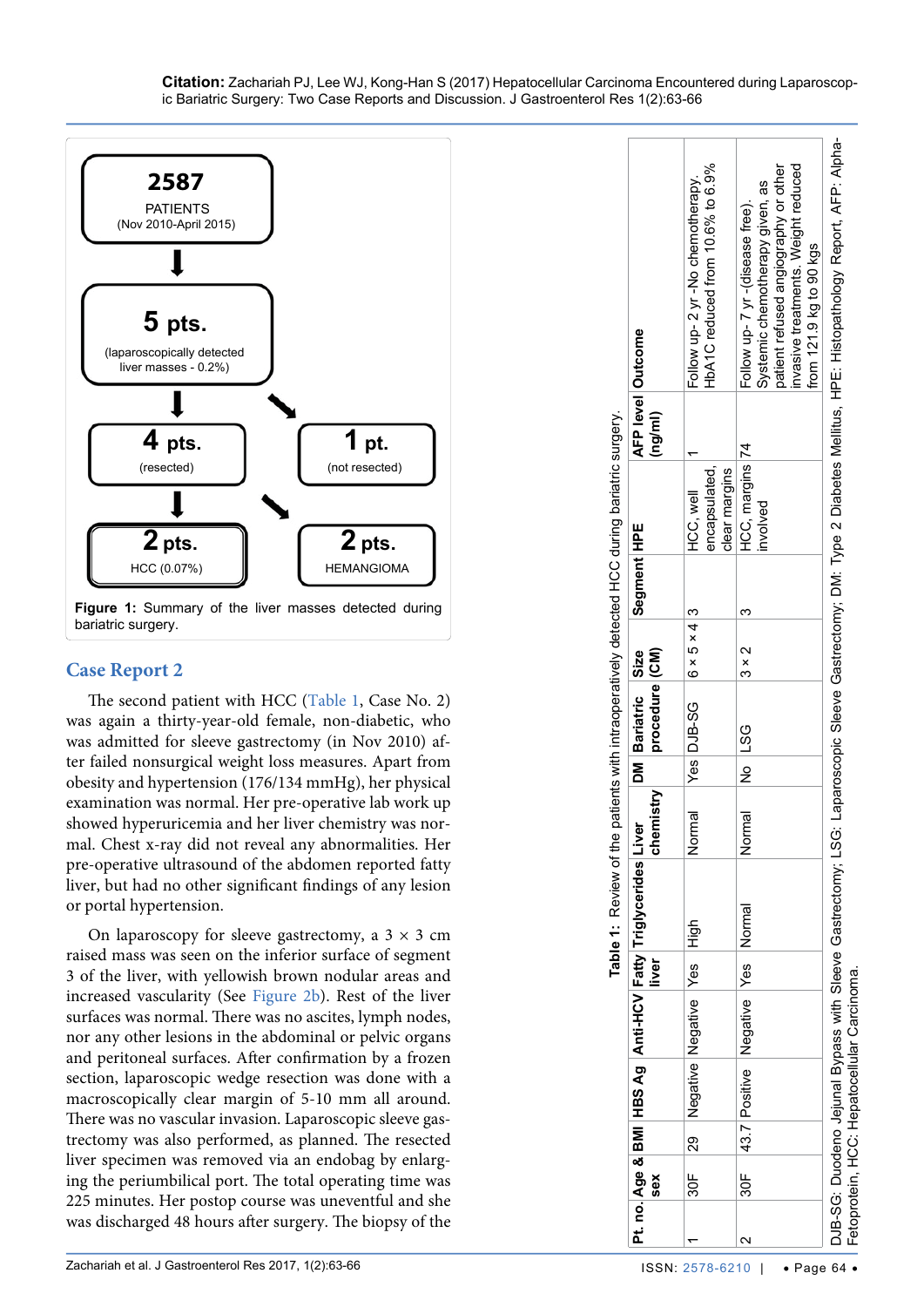<span id="page-1-0"></span>

# **Case Report 2**

The second patient with HCC [\(Table 1,](#page-1-1) Case No. 2) was again a thirty-year-old female, non-diabetic, who was admitted for sleeve gastrectomy (in Nov 2010) after failed nonsurgical weight loss measures. Apart from obesity and hypertension (176/134 mmHg), her physical examination was normal. Her pre-operative lab work up showed hyperuricemia and her liver chemistry was nor mal. Chest x-ray did not reveal any abnormalities. Her pre-operative ultrasound of the abdomen reported fatty liver, but had no other significant findings of any lesion or portal hypertension.

<span id="page-1-1"></span>On laparoscopy for sleeve gastrectomy, a  $3 \times 3$  cm raised mass was seen on the inferior surface of segment 3 of the liver, with yellowish brown nodular areas and increased vascularity (See [Figure 2b](#page-2-0)). Rest of the liver surfaces was normal. There was no ascites, lymph nodes, nor any other lesions in the abdominal or pelvic organs and peritoneal surfaces. After confirmation by a frozen section, laparoscopic wedge resection was done with a macroscopically clear margin of 5-10 mm all around. There was no vascular invasion. Laparoscopic sleeve gas trectomy was also performed, as planned. The resected liver specimen was removed via an endobag by enlarg ing the periumbilical port. The total operating time was 225 minutes. Her postop course was uneventful and she was discharged 48 hours after surgery. The biopsy of the

DJB-SG: Duodeno Jejunal Bypass with Sleeve Gastrectomy; LSG: Laparoscopic Sleeve Gastrectomy; DM: Type 2 Diabetes Mellitus, HPE: Histopathology Report, AFP: Alpha-DJB-SG: Duodeno Jejunal Bypass with Sleeve Gastrectomy; LSG: Laparoscopic Sleeve Gastrectomy; DM: Type 2 Diabetes Mellitus, HPE: Histopathology Report, AFP: Alphainvasive treatments. Weight reduced patient refused angiography or other HbA1C reduced from 10.6% to 6.9% invasive treatments. Weight reduced HbA1C reduced from 10.6% to 6.9% patient refused angiography or other Follow up- 2 yr -No chemotherapy. Follow up-2 yr-No chemotherapy. Systemic chemotherapy given, as Systemic chemotherapy given, as 74 Follow up- 7 yr -(disease free). Follow up-7 yr-(disease free) from 121.9 kg to 90 kgs from 121.9 kg to 90 kgs **(ng/ml) Outcome Segment HPE AFP level**  Table 1: Review of the patients with intraoperatively detected HCC during bariatric surgery. **Table 1:** Review of the patients with intraoperatively detected HCC during bariatric surgery. HCC, margins 74  $\overline{\phantom{0}}$ 2 DoF 43.7 Positive Negative Negative Negative Negative Negative Negative Assitue 2 3 3 × 2 3 3 × 2 3 HCC, margins encapsulated, clear margins encapsulated, clear margins HCC, well 19F 20F 29 Negative Negative Negative Negative Negative Negative Negative Normal SQ 20F 3 × 4 3 × 5 × 4 3 × 4 3 × 4 3 × 4 3 × 4 3 × 4 3 × 4 3 × 4 3 × 4 3 × 4 3 × 4 3 × 4 3 × 4 3 × 4 3 × 4 3 × 4 3 × 4 3 × 4 3 × 4 3 × 4 3 × involved Segment HPE  $\infty$ က  $6 \times 5 \times 4$  $\mathbf{\Omega}$ **Size (CM)**  $\boldsymbol{\mathsf{x}}$ က **procedure DM Bariatric**  DJB-SG LSG Yes ΣÑ  $\frac{6}{5}$ chemistry **chemistry** Vormal Normal Fatty Triglycerides Liver **Triglycerides Liver**  Normal High **BMI HBS Ag Anti-HCV Fatty liver** Yes Yes Fetoprotein, HCC: Hepatocellular Carcinoma. Fetoprotein, HCC: Hepatocellular Carcinoma. Anti-HCV Negative Negative Negative Ąg Positive HBS 43.7  $\overline{\mathbf{m}}$ 29 **Pt.** no. Age & **B**<br>sex **Pt. no. Age &**   $30<sup>F</sup>$ క్ల  $\sim$  $\overline{\phantom{0}}$ 

#### **Citation:** Zachariah PJ, Lee WJ, Kong-Han S (2017) Hepatocellular Carcinoma Encountered during Laparoscop ic Bariatric Surgery: Two Case Reports and Discussion. J Gastroenterol Res 1(2):63-66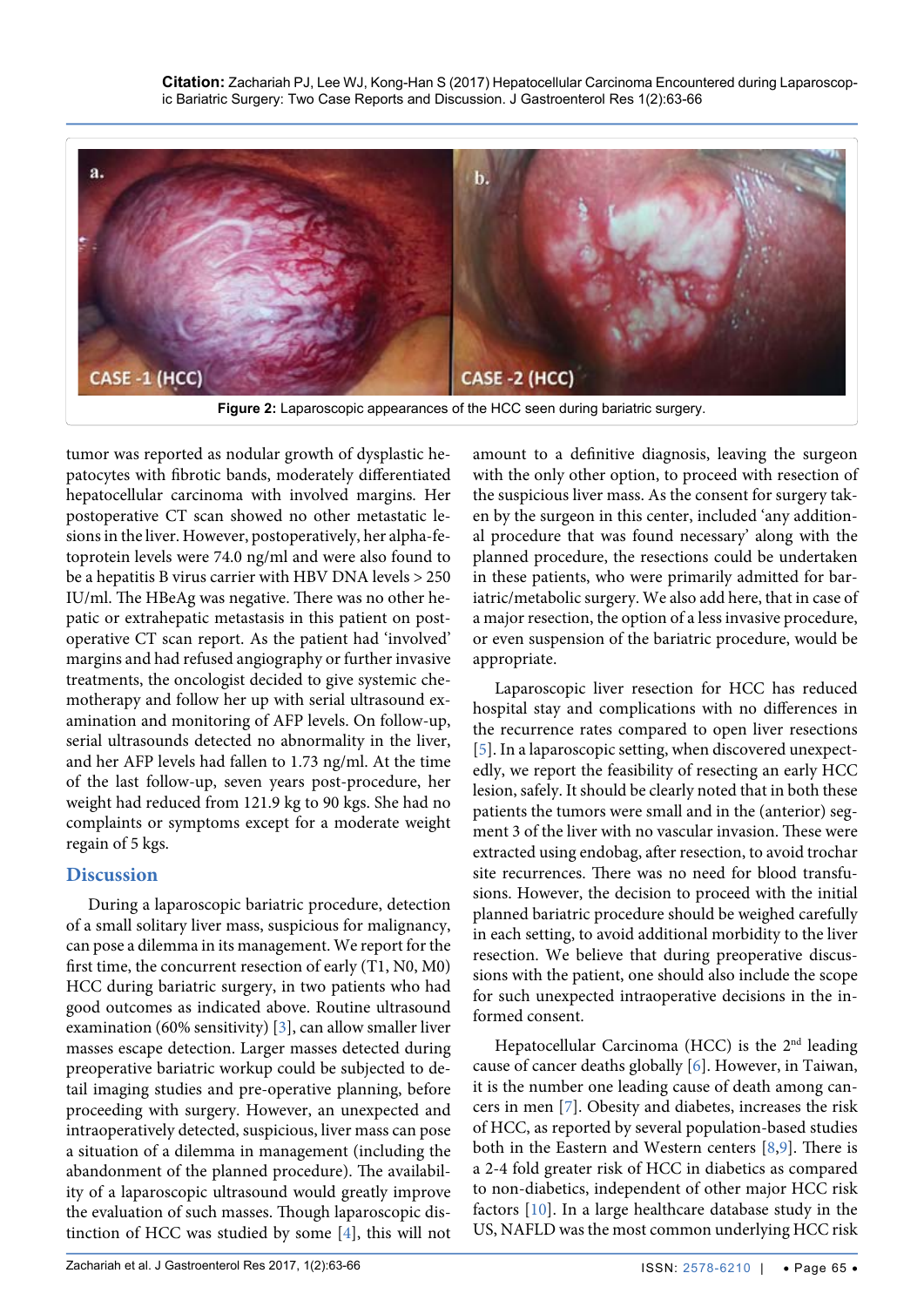<span id="page-2-0"></span>

tumor was reported as nodular growth of dysplastic hepatocytes with fibrotic bands, moderately differentiated hepatocellular carcinoma with involved margins. Her postoperative CT scan showed no other metastatic lesions in the liver. However, postoperatively, her alpha-fetoprotein levels were 74.0 ng/ml and were also found to be a hepatitis B virus carrier with HBV DNA levels > 250 IU/ml. The HBeAg was negative. There was no other hepatic or extrahepatic metastasis in this patient on postoperative CT scan report. As the patient had 'involved' margins and had refused angiography or further invasive treatments, the oncologist decided to give systemic chemotherapy and follow her up with serial ultrasound examination and monitoring of AFP levels. On follow-up, serial ultrasounds detected no abnormality in the liver, and her AFP levels had fallen to 1.73 ng/ml. At the time of the last follow-up, seven years post-procedure, her weight had reduced from 121.9 kg to 90 kgs. She had no complaints or symptoms except for a moderate weight regain of 5 kgs.

# **Discussion**

During a laparoscopic bariatric procedure, detection of a small solitary liver mass, suspicious for malignancy, can pose a dilemma in its management. We report for the first time, the concurrent resection of early (T1, N0, M0) HCC during bariatric surgery, in two patients who had good outcomes as indicated above. Routine ultrasound examination (60% sensitivity) [\[3\]](#page-3-8), can allow smaller liver masses escape detection. Larger masses detected during preoperative bariatric workup could be subjected to detail imaging studies and pre-operative planning, before proceeding with surgery. However, an unexpected and intraoperatively detected, suspicious, liver mass can pose a situation of a dilemma in management (including the abandonment of the planned procedure). The availability of a laparoscopic ultrasound would greatly improve the evaluation of such masses. Though laparoscopic distinction of HCC was studied by some [\[4](#page-3-9)], this will not amount to a definitive diagnosis, leaving the surgeon with the only other option, to proceed with resection of the suspicious liver mass. As the consent for surgery taken by the surgeon in this center, included 'any additional procedure that was found necessary' along with the planned procedure, the resections could be undertaken in these patients, who were primarily admitted for bariatric/metabolic surgery. We also add here, that in case of a major resection, the option of a less invasive procedure, or even suspension of the bariatric procedure, would be appropriate.

Laparoscopic liver resection for HCC has reduced hospital stay and complications with no differences in the recurrence rates compared to open liver resections [[5\]](#page-3-2). In a laparoscopic setting, when discovered unexpectedly, we report the feasibility of resecting an early HCC lesion, safely. It should be clearly noted that in both these patients the tumors were small and in the (anterior) segment 3 of the liver with no vascular invasion. These were extracted using endobag, after resection, to avoid trochar site recurrences. There was no need for blood transfusions. However, the decision to proceed with the initial planned bariatric procedure should be weighed carefully in each setting, to avoid additional morbidity to the liver resection. We believe that during preoperative discussions with the patient, one should also include the scope for such unexpected intraoperative decisions in the informed consent.

Hepatocellular Carcinoma (HCC) is the 2nd leading cause of cancer deaths globally [\[6\]](#page-3-3). However, in Taiwan, it is the number one leading cause of death among cancers in men [[7\]](#page-3-4). Obesity and diabetes, increases the risk of HCC, as reported by several population-based studies both in the Eastern and Western centers [\[8,](#page-3-5)[9](#page-3-6)]. There is a 2-4 fold greater risk of HCC in diabetics as compared to non-diabetics, independent of other major HCC risk factors [[10](#page-3-7)]. In a large healthcare database study in the US, NAFLD was the most common underlying HCC risk